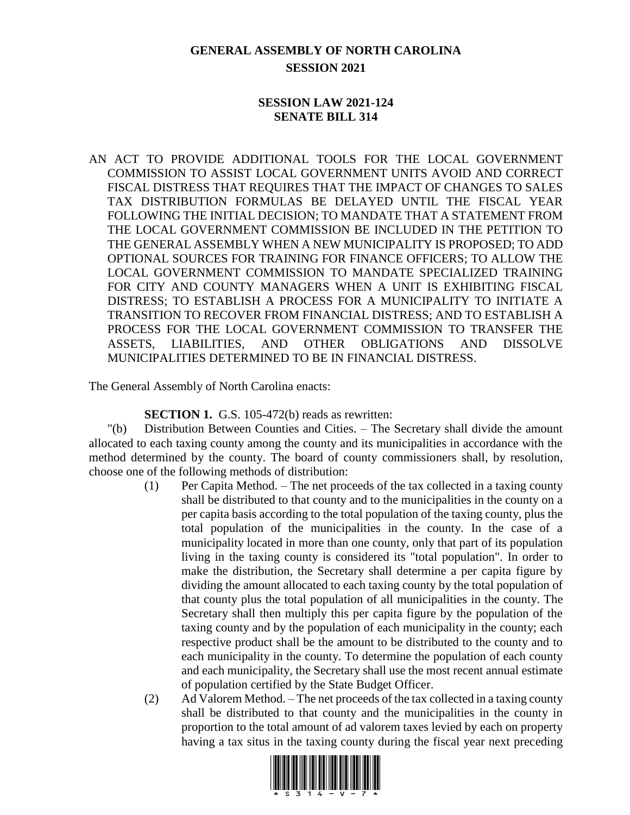# **GENERAL ASSEMBLY OF NORTH CAROLINA SESSION 2021**

#### **SESSION LAW 2021-124 SENATE BILL 314**

AN ACT TO PROVIDE ADDITIONAL TOOLS FOR THE LOCAL GOVERNMENT COMMISSION TO ASSIST LOCAL GOVERNMENT UNITS AVOID AND CORRECT FISCAL DISTRESS THAT REQUIRES THAT THE IMPACT OF CHANGES TO SALES TAX DISTRIBUTION FORMULAS BE DELAYED UNTIL THE FISCAL YEAR FOLLOWING THE INITIAL DECISION; TO MANDATE THAT A STATEMENT FROM THE LOCAL GOVERNMENT COMMISSION BE INCLUDED IN THE PETITION TO THE GENERAL ASSEMBLY WHEN A NEW MUNICIPALITY IS PROPOSED; TO ADD OPTIONAL SOURCES FOR TRAINING FOR FINANCE OFFICERS; TO ALLOW THE LOCAL GOVERNMENT COMMISSION TO MANDATE SPECIALIZED TRAINING FOR CITY AND COUNTY MANAGERS WHEN A UNIT IS EXHIBITING FISCAL DISTRESS; TO ESTABLISH A PROCESS FOR A MUNICIPALITY TO INITIATE A TRANSITION TO RECOVER FROM FINANCIAL DISTRESS; AND TO ESTABLISH A PROCESS FOR THE LOCAL GOVERNMENT COMMISSION TO TRANSFER THE ASSETS, LIABILITIES, AND OTHER OBLIGATIONS AND DISSOLVE MUNICIPALITIES DETERMINED TO BE IN FINANCIAL DISTRESS.

The General Assembly of North Carolina enacts:

**SECTION 1.** G.S. 105-472(b) reads as rewritten:

"(b) Distribution Between Counties and Cities. – The Secretary shall divide the amount allocated to each taxing county among the county and its municipalities in accordance with the method determined by the county. The board of county commissioners shall, by resolution, choose one of the following methods of distribution:

- (1) Per Capita Method. The net proceeds of the tax collected in a taxing county shall be distributed to that county and to the municipalities in the county on a per capita basis according to the total population of the taxing county, plus the total population of the municipalities in the county. In the case of a municipality located in more than one county, only that part of its population living in the taxing county is considered its "total population". In order to make the distribution, the Secretary shall determine a per capita figure by dividing the amount allocated to each taxing county by the total population of that county plus the total population of all municipalities in the county. The Secretary shall then multiply this per capita figure by the population of the taxing county and by the population of each municipality in the county; each respective product shall be the amount to be distributed to the county and to each municipality in the county. To determine the population of each county and each municipality, the Secretary shall use the most recent annual estimate of population certified by the State Budget Officer.
- (2) Ad Valorem Method. The net proceeds of the tax collected in a taxing county shall be distributed to that county and the municipalities in the county in proportion to the total amount of ad valorem taxes levied by each on property having a tax situs in the taxing county during the fiscal year next preceding

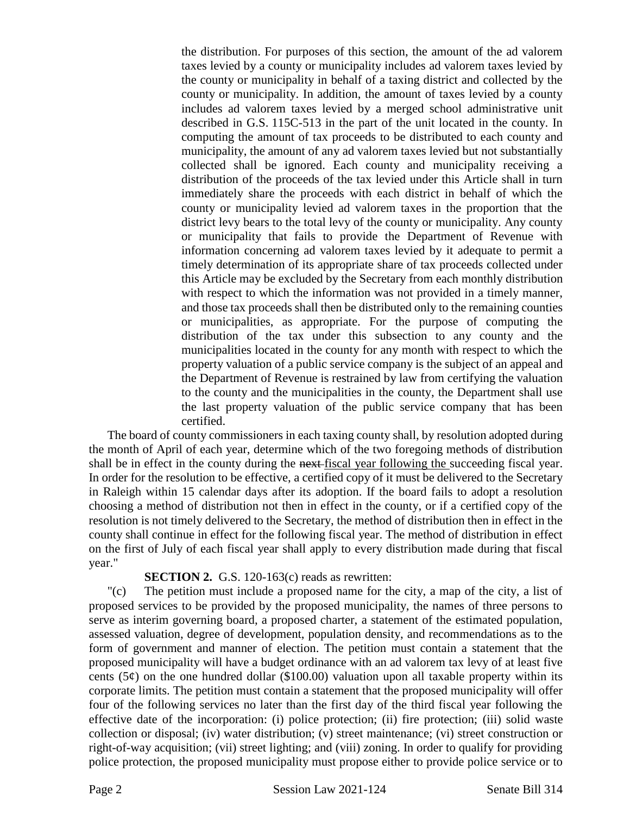the distribution. For purposes of this section, the amount of the ad valorem taxes levied by a county or municipality includes ad valorem taxes levied by the county or municipality in behalf of a taxing district and collected by the county or municipality. In addition, the amount of taxes levied by a county includes ad valorem taxes levied by a merged school administrative unit described in G.S. 115C-513 in the part of the unit located in the county. In computing the amount of tax proceeds to be distributed to each county and municipality, the amount of any ad valorem taxes levied but not substantially collected shall be ignored. Each county and municipality receiving a distribution of the proceeds of the tax levied under this Article shall in turn immediately share the proceeds with each district in behalf of which the county or municipality levied ad valorem taxes in the proportion that the district levy bears to the total levy of the county or municipality. Any county or municipality that fails to provide the Department of Revenue with information concerning ad valorem taxes levied by it adequate to permit a timely determination of its appropriate share of tax proceeds collected under this Article may be excluded by the Secretary from each monthly distribution with respect to which the information was not provided in a timely manner, and those tax proceeds shall then be distributed only to the remaining counties or municipalities, as appropriate. For the purpose of computing the distribution of the tax under this subsection to any county and the municipalities located in the county for any month with respect to which the property valuation of a public service company is the subject of an appeal and the Department of Revenue is restrained by law from certifying the valuation to the county and the municipalities in the county, the Department shall use the last property valuation of the public service company that has been certified.

The board of county commissioners in each taxing county shall, by resolution adopted during the month of April of each year, determine which of the two foregoing methods of distribution shall be in effect in the county during the next-fiscal year following the succeeding fiscal year. In order for the resolution to be effective, a certified copy of it must be delivered to the Secretary in Raleigh within 15 calendar days after its adoption. If the board fails to adopt a resolution choosing a method of distribution not then in effect in the county, or if a certified copy of the resolution is not timely delivered to the Secretary, the method of distribution then in effect in the county shall continue in effect for the following fiscal year. The method of distribution in effect on the first of July of each fiscal year shall apply to every distribution made during that fiscal year."

#### **SECTION 2.** G.S. 120-163(c) reads as rewritten:

"(c) The petition must include a proposed name for the city, a map of the city, a list of proposed services to be provided by the proposed municipality, the names of three persons to serve as interim governing board, a proposed charter, a statement of the estimated population, assessed valuation, degree of development, population density, and recommendations as to the form of government and manner of election. The petition must contain a statement that the proposed municipality will have a budget ordinance with an ad valorem tax levy of at least five cents (5 $\varphi$ ) on the one hundred dollar (\$100.00) valuation upon all taxable property within its corporate limits. The petition must contain a statement that the proposed municipality will offer four of the following services no later than the first day of the third fiscal year following the effective date of the incorporation: (i) police protection; (ii) fire protection; (iii) solid waste collection or disposal; (iv) water distribution; (v) street maintenance; (vi) street construction or right-of-way acquisition; (vii) street lighting; and (viii) zoning. In order to qualify for providing police protection, the proposed municipality must propose either to provide police service or to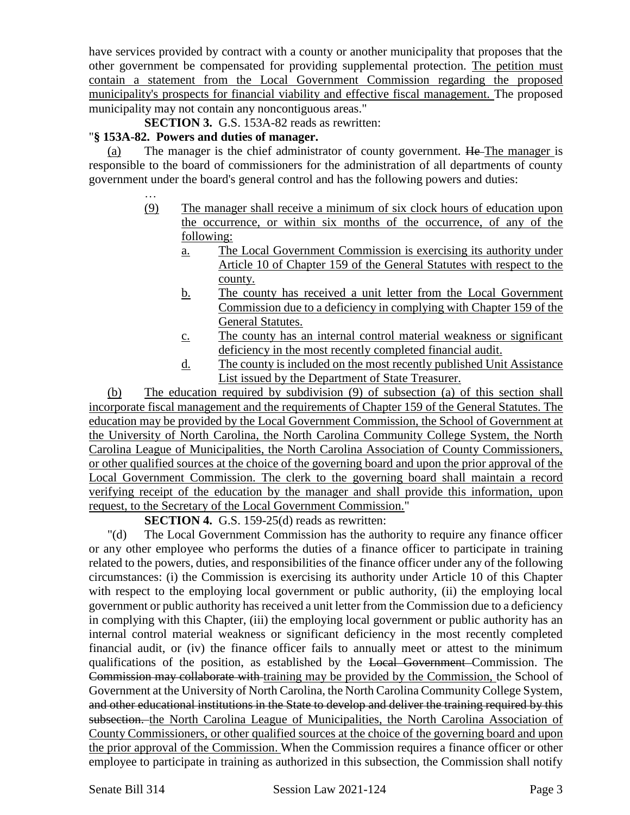have services provided by contract with a county or another municipality that proposes that the other government be compensated for providing supplemental protection. The petition must contain a statement from the Local Government Commission regarding the proposed municipality's prospects for financial viability and effective fiscal management. The proposed municipality may not contain any noncontiguous areas."

**SECTION 3.** G.S. 153A-82 reads as rewritten:

#### "**§ 153A-82. Powers and duties of manager.**

…

(a) The manager is the chief administrator of county government.  $He$ -The manager is responsible to the board of commissioners for the administration of all departments of county government under the board's general control and has the following powers and duties:

- (9) The manager shall receive a minimum of six clock hours of education upon the occurrence, or within six months of the occurrence, of any of the following:
	- a. The Local Government Commission is exercising its authority under Article 10 of Chapter 159 of the General Statutes with respect to the county.
	- b. The county has received a unit letter from the Local Government Commission due to a deficiency in complying with Chapter 159 of the General Statutes.
	- c. The county has an internal control material weakness or significant deficiency in the most recently completed financial audit.
	- d. The county is included on the most recently published Unit Assistance List issued by the Department of State Treasurer.

(b) The education required by subdivision (9) of subsection (a) of this section shall incorporate fiscal management and the requirements of Chapter 159 of the General Statutes. The education may be provided by the Local Government Commission, the School of Government at the University of North Carolina, the North Carolina Community College System, the North Carolina League of Municipalities, the North Carolina Association of County Commissioners, or other qualified sources at the choice of the governing board and upon the prior approval of the Local Government Commission. The clerk to the governing board shall maintain a record verifying receipt of the education by the manager and shall provide this information, upon request, to the Secretary of the Local Government Commission."

#### **SECTION 4.** G.S. 159-25(d) reads as rewritten:

"(d) The Local Government Commission has the authority to require any finance officer or any other employee who performs the duties of a finance officer to participate in training related to the powers, duties, and responsibilities of the finance officer under any of the following circumstances: (i) the Commission is exercising its authority under Article 10 of this Chapter with respect to the employing local government or public authority, (ii) the employing local government or public authority has received a unit letter from the Commission due to a deficiency in complying with this Chapter, (iii) the employing local government or public authority has an internal control material weakness or significant deficiency in the most recently completed financial audit, or (iv) the finance officer fails to annually meet or attest to the minimum qualifications of the position, as established by the Local Government Commission. The Commission may collaborate with training may be provided by the Commission, the School of Government at the University of North Carolina, the North Carolina Community College System, and other educational institutions in the State to develop and deliver the training required by this subsection. the North Carolina League of Municipalities, the North Carolina Association of County Commissioners, or other qualified sources at the choice of the governing board and upon the prior approval of the Commission. When the Commission requires a finance officer or other employee to participate in training as authorized in this subsection, the Commission shall notify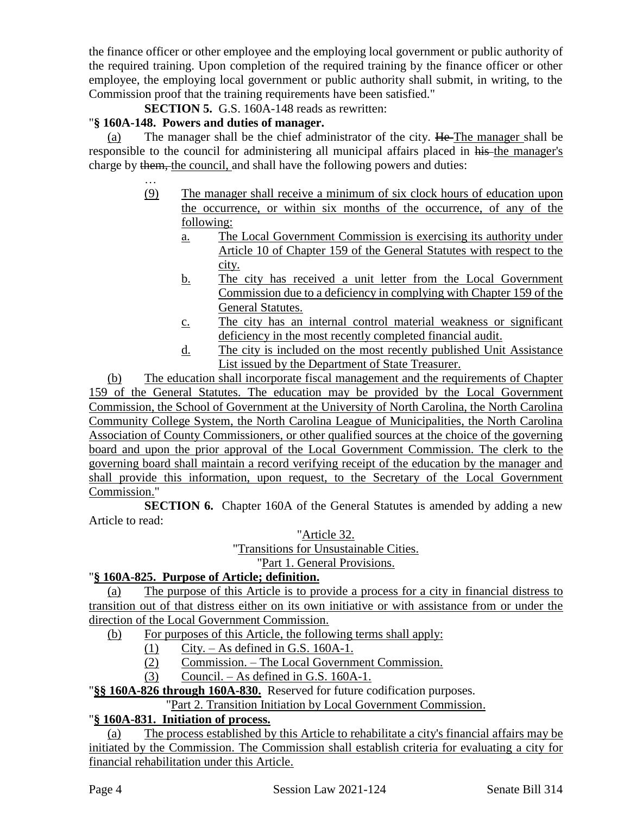the finance officer or other employee and the employing local government or public authority of the required training. Upon completion of the required training by the finance officer or other employee, the employing local government or public authority shall submit, in writing, to the Commission proof that the training requirements have been satisfied."

**SECTION 5.** G.S. 160A-148 reads as rewritten:

# "**§ 160A-148. Powers and duties of manager.**

(a) The manager shall be the chief administrator of the city.  $He$  The manager shall be responsible to the council for administering all municipal affairs placed in his the manager's charge by them, the council, and shall have the following powers and duties:

- … (9) The manager shall receive a minimum of six clock hours of education upon the occurrence, or within six months of the occurrence, of any of the following:
	- a. The Local Government Commission is exercising its authority under Article 10 of Chapter 159 of the General Statutes with respect to the city.
	- b. The city has received a unit letter from the Local Government Commission due to a deficiency in complying with Chapter 159 of the General Statutes.
	- c. The city has an internal control material weakness or significant deficiency in the most recently completed financial audit.
	- d. The city is included on the most recently published Unit Assistance List issued by the Department of State Treasurer.

(b) The education shall incorporate fiscal management and the requirements of Chapter 159 of the General Statutes. The education may be provided by the Local Government Commission, the School of Government at the University of North Carolina, the North Carolina Community College System, the North Carolina League of Municipalities, the North Carolina Association of County Commissioners, or other qualified sources at the choice of the governing board and upon the prior approval of the Local Government Commission. The clerk to the governing board shall maintain a record verifying receipt of the education by the manager and shall provide this information, upon request, to the Secretary of the Local Government Commission."

**SECTION 6.** Chapter 160A of the General Statutes is amended by adding a new Article to read:

"Article 32.

"Transitions for Unsustainable Cities.

"Part 1. General Provisions.

# "**§ 160A-825. Purpose of Article; definition.**

(a) The purpose of this Article is to provide a process for a city in financial distress to transition out of that distress either on its own initiative or with assistance from or under the direction of the Local Government Commission.

- (b) For purposes of this Article, the following terms shall apply:
	- (1) City. As defined in G.S. 160A-1.
	- (2) Commission. The Local Government Commission.
	- (3) Council. As defined in G.S. 160A-1.

"**§§ 160A-826 through 160A-830.** Reserved for future codification purposes.

"Part 2. Transition Initiation by Local Government Commission.

# "**§ 160A-831. Initiation of process.**

(a) The process established by this Article to rehabilitate a city's financial affairs may be initiated by the Commission. The Commission shall establish criteria for evaluating a city for financial rehabilitation under this Article.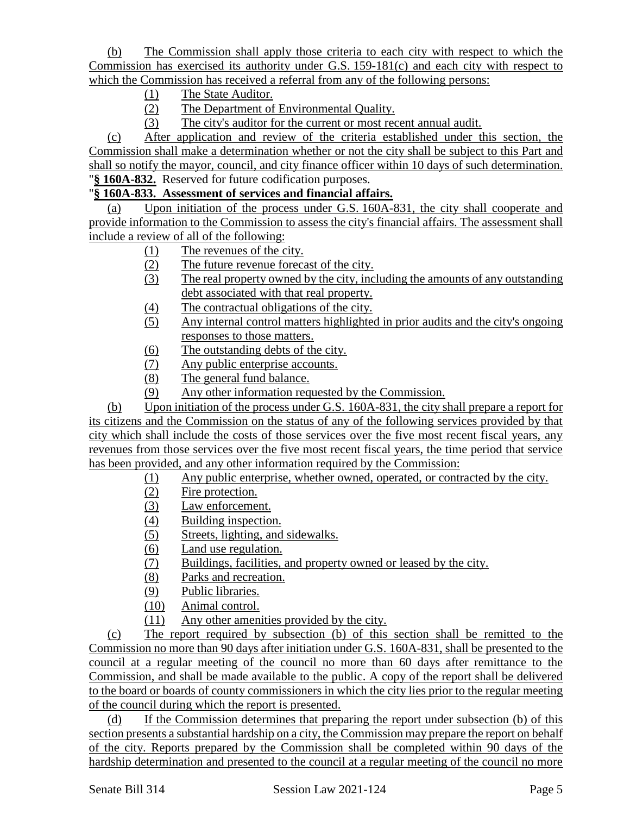(b) The Commission shall apply those criteria to each city with respect to which the Commission has exercised its authority under G.S. 159-181(c) and each city with respect to which the Commission has received a referral from any of the following persons:

- (1) The State Auditor.
- (2) The Department of Environmental Quality.
- (3) The city's auditor for the current or most recent annual audit.

(c) After application and review of the criteria established under this section, the Commission shall make a determination whether or not the city shall be subject to this Part and shall so notify the mayor, council, and city finance officer within 10 days of such determination. "**§ 160A-832.** Reserved for future codification purposes.

### "**§ 160A-833. Assessment of services and financial affairs.**

(a) Upon initiation of the process under G.S. 160A-831, the city shall cooperate and provide information to the Commission to assess the city's financial affairs. The assessment shall include a review of all of the following:

- (1) The revenues of the city.
- (2) The future revenue forecast of the city.
- (3) The real property owned by the city, including the amounts of any outstanding debt associated with that real property.
- (4) The contractual obligations of the city.
- (5) Any internal control matters highlighted in prior audits and the city's ongoing responses to those matters.
- (6) The outstanding debts of the city.
- (7) Any public enterprise accounts.
- (8) The general fund balance.
- (9) Any other information requested by the Commission.

(b) Upon initiation of the process under G.S. 160A-831, the city shall prepare a report for its citizens and the Commission on the status of any of the following services provided by that city which shall include the costs of those services over the five most recent fiscal years, any revenues from those services over the five most recent fiscal years, the time period that service has been provided, and any other information required by the Commission:

- (1) Any public enterprise, whether owned, operated, or contracted by the city.
- (2) Fire protection.
- (3) Law enforcement.
- (4) Building inspection.
- (5) Streets, lighting, and sidewalks.
- (6) Land use regulation.
- (7) Buildings, facilities, and property owned or leased by the city.
- (8) Parks and recreation.
- (9) Public libraries.
- (10) Animal control.
- (11) Any other amenities provided by the city.

(c) The report required by subsection (b) of this section shall be remitted to the Commission no more than 90 days after initiation under G.S. 160A-831, shall be presented to the council at a regular meeting of the council no more than 60 days after remittance to the Commission, and shall be made available to the public. A copy of the report shall be delivered to the board or boards of county commissioners in which the city lies prior to the regular meeting of the council during which the report is presented.

(d) If the Commission determines that preparing the report under subsection (b) of this section presents a substantial hardship on a city, the Commission may prepare the report on behalf of the city. Reports prepared by the Commission shall be completed within 90 days of the hardship determination and presented to the council at a regular meeting of the council no more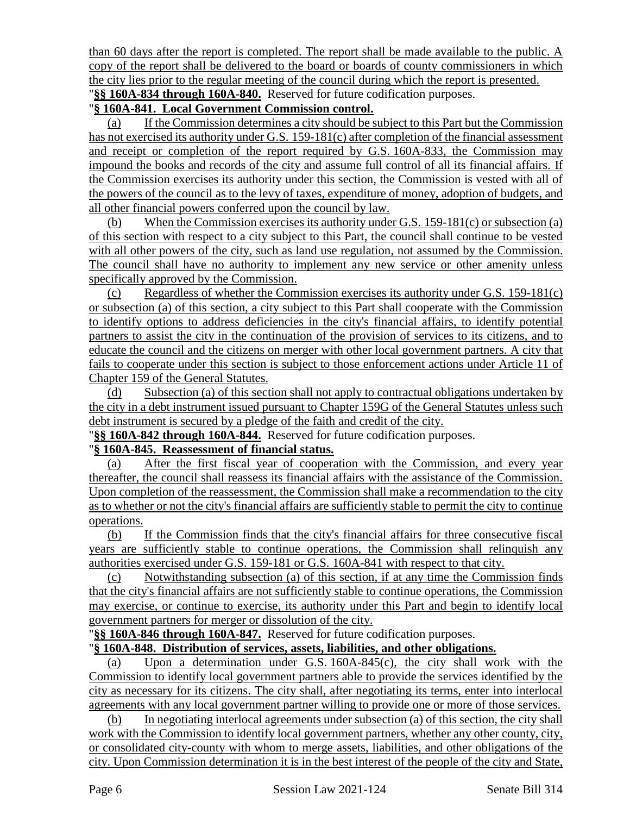than 60 days after the report is completed. The report shall be made available to the public. A copy of the report shall be delivered to the board or boards of county commissioners in which the city lies prior to the regular meeting of the council during which the report is presented. "**§§ 160A-834 through 160A-840.** Reserved for future codification purposes.

#### "**§ 160A-841. Local Government Commission control.**

(a) If the Commission determines a city should be subject to this Part but the Commission has not exercised its authority under G.S. 159-181(c) after completion of the financial assessment and receipt or completion of the report required by G.S. 160A-833, the Commission may impound the books and records of the city and assume full control of all its financial affairs. If the Commission exercises its authority under this section, the Commission is vested with all of the powers of the council as to the levy of taxes, expenditure of money, adoption of budgets, and all other financial powers conferred upon the council by law.

(b) When the Commission exercises its authority under G.S. 159-181(c) or subsection (a) of this section with respect to a city subject to this Part, the council shall continue to be vested with all other powers of the city, such as land use regulation, not assumed by the Commission. The council shall have no authority to implement any new service or other amenity unless specifically approved by the Commission.

(c) Regardless of whether the Commission exercises its authority under G.S. 159-181(c) or subsection (a) of this section, a city subject to this Part shall cooperate with the Commission to identify options to address deficiencies in the city's financial affairs, to identify potential partners to assist the city in the continuation of the provision of services to its citizens, and to educate the council and the citizens on merger with other local government partners. A city that fails to cooperate under this section is subject to those enforcement actions under Article 11 of Chapter 159 of the General Statutes.

(d) Subsection (a) of this section shall not apply to contractual obligations undertaken by the city in a debt instrument issued pursuant to Chapter 159G of the General Statutes unless such debt instrument is secured by a pledge of the faith and credit of the city.

"**§§ 160A-842 through 160A-844.** Reserved for future codification purposes.

#### "**§ 160A-845. Reassessment of financial status.**

(a) After the first fiscal year of cooperation with the Commission, and every year thereafter, the council shall reassess its financial affairs with the assistance of the Commission. Upon completion of the reassessment, the Commission shall make a recommendation to the city as to whether or not the city's financial affairs are sufficiently stable to permit the city to continue operations.

(b) If the Commission finds that the city's financial affairs for three consecutive fiscal years are sufficiently stable to continue operations, the Commission shall relinquish any authorities exercised under G.S. 159-181 or G.S. 160A-841 with respect to that city.

(c) Notwithstanding subsection (a) of this section, if at any time the Commission finds that the city's financial affairs are not sufficiently stable to continue operations, the Commission may exercise, or continue to exercise, its authority under this Part and begin to identify local government partners for merger or dissolution of the city.

"**§§ 160A-846 through 160A-847.** Reserved for future codification purposes.

#### "**§ 160A-848. Distribution of services, assets, liabilities, and other obligations.**

(a) Upon a determination under G.S. 160A-845(c), the city shall work with the Commission to identify local government partners able to provide the services identified by the city as necessary for its citizens. The city shall, after negotiating its terms, enter into interlocal agreements with any local government partner willing to provide one or more of those services.

(b) In negotiating interlocal agreements under subsection (a) of this section, the city shall work with the Commission to identify local government partners, whether any other county, city, or consolidated city-county with whom to merge assets, liabilities, and other obligations of the city. Upon Commission determination it is in the best interest of the people of the city and State,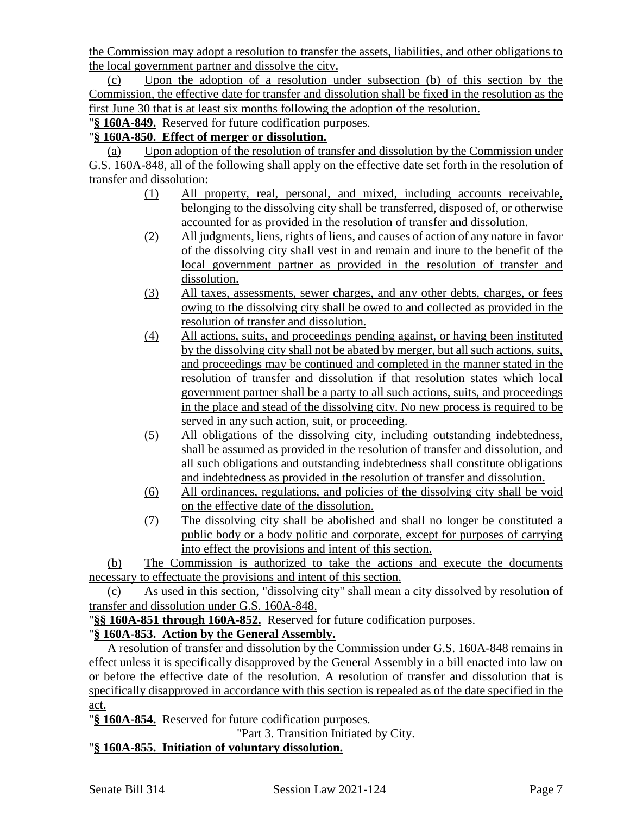the Commission may adopt a resolution to transfer the assets, liabilities, and other obligations to the local government partner and dissolve the city.

(c) Upon the adoption of a resolution under subsection (b) of this section by the Commission, the effective date for transfer and dissolution shall be fixed in the resolution as the first June 30 that is at least six months following the adoption of the resolution.

"**§ 160A-849.** Reserved for future codification purposes.

### "**§ 160A-850. Effect of merger or dissolution.**

(a) Upon adoption of the resolution of transfer and dissolution by the Commission under G.S. 160A-848, all of the following shall apply on the effective date set forth in the resolution of transfer and dissolution:

- (1) All property, real, personal, and mixed, including accounts receivable, belonging to the dissolving city shall be transferred, disposed of, or otherwise accounted for as provided in the resolution of transfer and dissolution.
- (2) All judgments, liens, rights of liens, and causes of action of any nature in favor of the dissolving city shall vest in and remain and inure to the benefit of the local government partner as provided in the resolution of transfer and dissolution.
- (3) All taxes, assessments, sewer charges, and any other debts, charges, or fees owing to the dissolving city shall be owed to and collected as provided in the resolution of transfer and dissolution.
- (4) All actions, suits, and proceedings pending against, or having been instituted by the dissolving city shall not be abated by merger, but all such actions, suits, and proceedings may be continued and completed in the manner stated in the resolution of transfer and dissolution if that resolution states which local government partner shall be a party to all such actions, suits, and proceedings in the place and stead of the dissolving city. No new process is required to be served in any such action, suit, or proceeding.
- (5) All obligations of the dissolving city, including outstanding indebtedness, shall be assumed as provided in the resolution of transfer and dissolution, and all such obligations and outstanding indebtedness shall constitute obligations and indebtedness as provided in the resolution of transfer and dissolution.
- (6) All ordinances, regulations, and policies of the dissolving city shall be void on the effective date of the dissolution.
- (7) The dissolving city shall be abolished and shall no longer be constituted a public body or a body politic and corporate, except for purposes of carrying into effect the provisions and intent of this section.

(b) The Commission is authorized to take the actions and execute the documents necessary to effectuate the provisions and intent of this section.

(c) As used in this section, "dissolving city" shall mean a city dissolved by resolution of transfer and dissolution under G.S. 160A-848.

"**§§ 160A-851 through 160A-852.** Reserved for future codification purposes.

# "**§ 160A-853. Action by the General Assembly.**

A resolution of transfer and dissolution by the Commission under G.S. 160A-848 remains in effect unless it is specifically disapproved by the General Assembly in a bill enacted into law on or before the effective date of the resolution. A resolution of transfer and dissolution that is specifically disapproved in accordance with this section is repealed as of the date specified in the act.

"**§ 160A-854.** Reserved for future codification purposes.

"Part 3. Transition Initiated by City.

#### "**§ 160A-855. Initiation of voluntary dissolution.**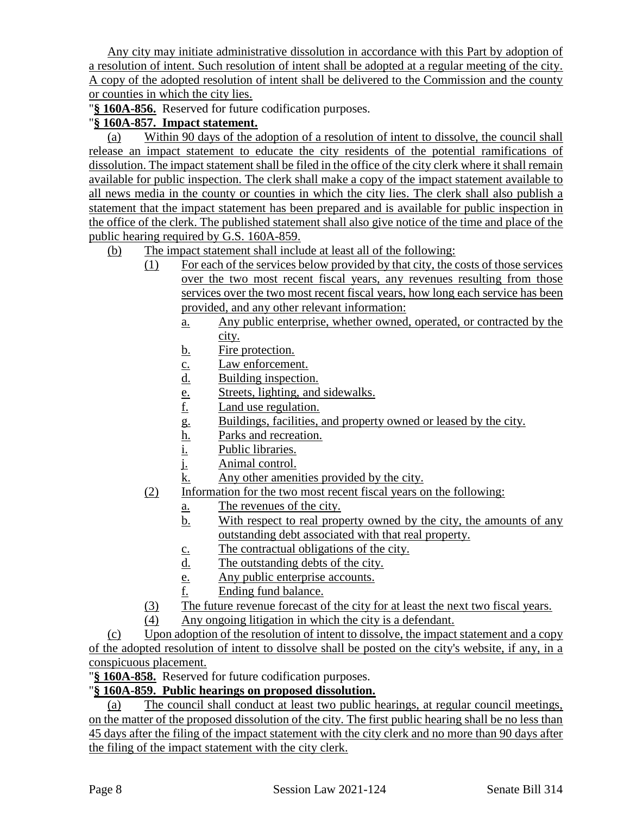Any city may initiate administrative dissolution in accordance with this Part by adoption of a resolution of intent. Such resolution of intent shall be adopted at a regular meeting of the city. A copy of the adopted resolution of intent shall be delivered to the Commission and the county or counties in which the city lies.

"**§ 160A-856.** Reserved for future codification purposes.

# "**§ 160A-857. Impact statement.**

(a) Within 90 days of the adoption of a resolution of intent to dissolve, the council shall release an impact statement to educate the city residents of the potential ramifications of dissolution. The impact statement shall be filed in the office of the city clerk where it shall remain available for public inspection. The clerk shall make a copy of the impact statement available to all news media in the county or counties in which the city lies. The clerk shall also publish a statement that the impact statement has been prepared and is available for public inspection in the office of the clerk. The published statement shall also give notice of the time and place of the public hearing required by G.S. 160A-859.

(b) The impact statement shall include at least all of the following:

- (1) For each of the services below provided by that city, the costs of those services over the two most recent fiscal years, any revenues resulting from those services over the two most recent fiscal years, how long each service has been provided, and any other relevant information:
	- a. Any public enterprise, whether owned, operated, or contracted by the city.
	- b. Fire protection.
	- c. Law enforcement.
	- d. Building inspection.
	- e. Streets, lighting, and sidewalks.
	- f. Land use regulation.
	- g. Buildings, facilities, and property owned or leased by the city.
	- <u>h.</u> Parks and recreation.<br>i. Public libraries.
	- Public libraries.
	- j. Animal control.
	- k. Any other amenities provided by the city.
- (2) Information for the two most recent fiscal years on the following:
	- a. The revenues of the city.
	- b. With respect to real property owned by the city, the amounts of any outstanding debt associated with that real property.
	- c. The contractual obligations of the city.
	- d. The outstanding debts of the city.
	- e. Any public enterprise accounts.
	- f. Ending fund balance.
- (3) The future revenue forecast of the city for at least the next two fiscal years.
- (4) Any ongoing litigation in which the city is a defendant.

(c) Upon adoption of the resolution of intent to dissolve, the impact statement and a copy of the adopted resolution of intent to dissolve shall be posted on the city's website, if any, in a conspicuous placement.

"**§ 160A-858.** Reserved for future codification purposes.

# "**§ 160A-859. Public hearings on proposed dissolution.**

(a) The council shall conduct at least two public hearings, at regular council meetings, on the matter of the proposed dissolution of the city. The first public hearing shall be no less than 45 days after the filing of the impact statement with the city clerk and no more than 90 days after the filing of the impact statement with the city clerk.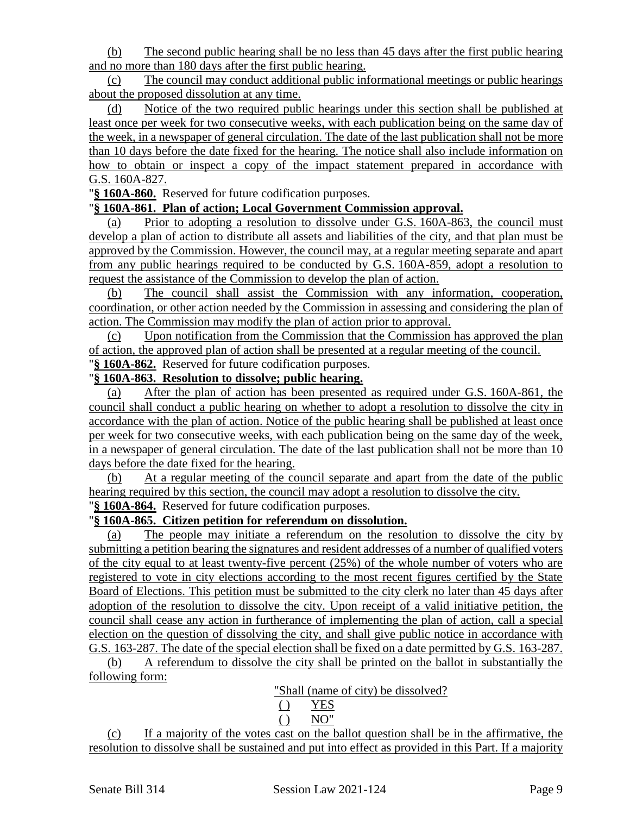(b) The second public hearing shall be no less than 45 days after the first public hearing and no more than 180 days after the first public hearing.

(c) The council may conduct additional public informational meetings or public hearings about the proposed dissolution at any time.

(d) Notice of the two required public hearings under this section shall be published at least once per week for two consecutive weeks, with each publication being on the same day of the week, in a newspaper of general circulation. The date of the last publication shall not be more than 10 days before the date fixed for the hearing. The notice shall also include information on how to obtain or inspect a copy of the impact statement prepared in accordance with G.S. 160A-827.

"**§ 160A-860.** Reserved for future codification purposes.

#### "**§ 160A-861. Plan of action; Local Government Commission approval.**

(a) Prior to adopting a resolution to dissolve under G.S. 160A-863, the council must develop a plan of action to distribute all assets and liabilities of the city, and that plan must be approved by the Commission. However, the council may, at a regular meeting separate and apart from any public hearings required to be conducted by G.S. 160A-859, adopt a resolution to request the assistance of the Commission to develop the plan of action.

(b) The council shall assist the Commission with any information, cooperation, coordination, or other action needed by the Commission in assessing and considering the plan of action. The Commission may modify the plan of action prior to approval.

(c) Upon notification from the Commission that the Commission has approved the plan of action, the approved plan of action shall be presented at a regular meeting of the council. "**§ 160A-862.** Reserved for future codification purposes.

#### "**§ 160A-863. Resolution to dissolve; public hearing.**

(a) After the plan of action has been presented as required under G.S. 160A-861, the council shall conduct a public hearing on whether to adopt a resolution to dissolve the city in accordance with the plan of action. Notice of the public hearing shall be published at least once per week for two consecutive weeks, with each publication being on the same day of the week, in a newspaper of general circulation. The date of the last publication shall not be more than 10 days before the date fixed for the hearing.

(b) At a regular meeting of the council separate and apart from the date of the public hearing required by this section, the council may adopt a resolution to dissolve the city.

# "**§ 160A-864.** Reserved for future codification purposes.

# "**§ 160A-865. Citizen petition for referendum on dissolution.**

(a) The people may initiate a referendum on the resolution to dissolve the city by submitting a petition bearing the signatures and resident addresses of a number of qualified voters of the city equal to at least twenty-five percent (25%) of the whole number of voters who are registered to vote in city elections according to the most recent figures certified by the State Board of Elections. This petition must be submitted to the city clerk no later than 45 days after adoption of the resolution to dissolve the city. Upon receipt of a valid initiative petition, the council shall cease any action in furtherance of implementing the plan of action, call a special election on the question of dissolving the city, and shall give public notice in accordance with G.S. 163-287. The date of the special election shall be fixed on a date permitted by G.S. 163-287.

(b) A referendum to dissolve the city shall be printed on the ballot in substantially the following form:

"Shall (name of city) be dissolved?

$$
\begin{array}{cc}\n\text{()} & \text{YES} \\
\text{()} & \text{NO}^{\prime}\n\end{array}
$$

(c) If a majority of the votes cast on the ballot question shall be in the affirmative, the resolution to dissolve shall be sustained and put into effect as provided in this Part. If a majority